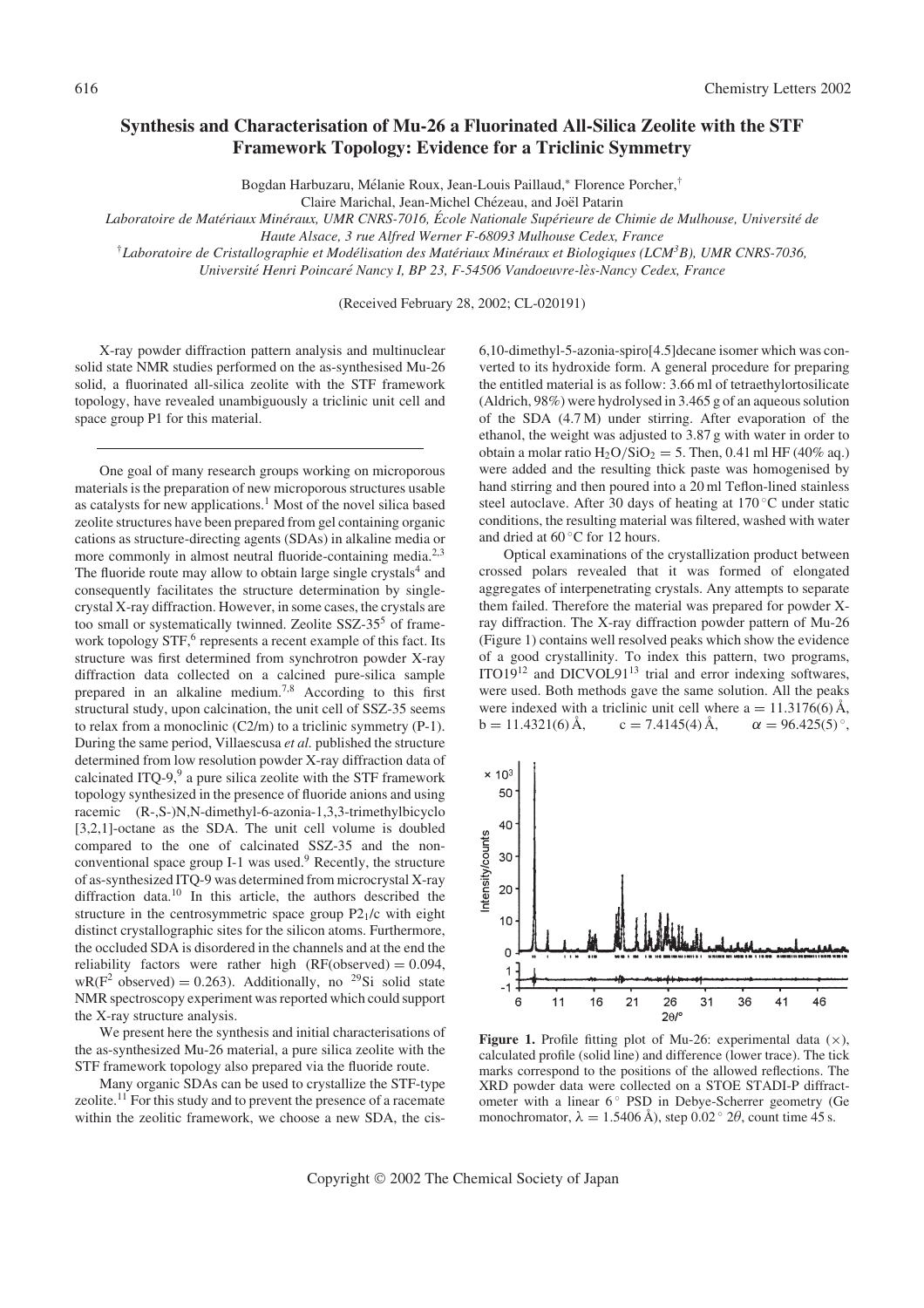## Synthesis and Characterisation of Mu-26 a Fluorinated All-Silica Zeolite with the STF Framework Topology: Evidence for a Triclinic Symmetry

Bogdan Harbuzaru, Mélanie Roux, Jean-Louis Paillaud,\* Florence Porcher,<sup>†</sup>

Claire Marichal, Jean-Michel Chézeau, and Joël Patarin

Laboratoire de Matériaux Minéraux, UMR CNRS-7016, École Nationale Supérieure de Chimie de Mulhouse, Université de

Haute Alsace, 3 rue Alfred Werner F-68093 Mulhouse Cedex, France

 $^{\dagger}$ Laboratoire de Cristallographie et Modélisation des Matériaux Minéraux et Biologiques (LCM<sup>3</sup>B), UMR CNRS-7036,

Université Henri Poincaré Nancy I, BP 23, F-54506 Vandoeuvre-lès-Nancy Cedex, France

(Received February 28, 2002; CL-020191)

X-ray powder diffraction pattern analysis and multinuclear solid state NMR studies performed on the as-synthesised Mu-26 solid, a fluorinated all-silica zeolite with the STF framework topology, have revealed unambiguously a triclinic unit cell and space group P1 for this material.

One goal of many research groups working on microporous materials is the preparation of new microporous structures usable as catalysts for new applications.<sup>1</sup> Most of the novel silica based zeolite structures have been prepared from gel containing organic cations as structure-directing agents (SDAs) in alkaline media or more commonly in almost neutral fluoride-containing media.<sup>2,3</sup> The fluoride route may allow to obtain large single crystals<sup>4</sup> and consequently facilitates the structure determination by singlecrystal X-ray diffraction. However, in some cases, the crystals are too small or systematically twinned. Zeolite SSZ-35<sup>5</sup> of framework topology  $STF<sub>0</sub><sup>6</sup>$  represents a recent example of this fact. Its structure was first determined from synchrotron powder X-ray diffraction data collected on a calcined pure-silica sample prepared in an alkaline medium.<sup>7,8</sup> According to this first structural study, upon calcination, the unit cell of SSZ-35 seems to relax from a monoclinic (C2/m) to a triclinic symmetry (P-1). During the same period, Villaescusa et al. published the structure determined from low resolution powder X-ray diffraction data of calcinated ITQ-9, $9$  a pure silica zeolite with the STF framework topology synthesized in the presence of fluoride anions and using racemic (R-,S-)N,N-dimethyl-6-azonia-1,3,3-trimethylbicyclo [3,2,1]-octane as the SDA. The unit cell volume is doubled compared to the one of calcinated SSZ-35 and the nonconventional space group I-1 was used.<sup>9</sup> Recently, the structure of as-synthesized ITQ-9 was determined from microcrystal X-ray diffraction data. $10$  In this article, the authors described the structure in the centrosymmetric space group P21/c with eight distinct crystallographic sites for the silicon atoms. Furthermore, the occluded SDA is disordered in the channels and at the end the reliability factors were rather high  $(RF(observed) = 0.094,$ wR( $F^2$  observed) = 0.263). Additionally, no <sup>29</sup>Si solid state NMR spectroscopy experiment was reported which could support the X-ray structure analysis.

We present here the synthesis and initial characterisations of the as-synthesized Mu-26 material, a pure silica zeolite with the STF framework topology also prepared via the fluoride route.

Many organic SDAs can be used to crystallize the STF-type zeolite.<sup>11</sup> For this study and to prevent the presence of a racemate within the zeolitic framework, we choose a new SDA, the cis6,10-dimethyl-5-azonia-spiro[4.5]decane isomer which was converted to its hydroxide form. A general procedure for preparing the entitled material is as follow: 3.66 ml of tetraethylortosilicate (Aldrich, 98%) were hydrolysed in 3.465 g of an aqueous solution of the SDA (4.7 M) under stirring. After evaporation of the ethanol, the weight was adjusted to 3.87 g with water in order to obtain a molar ratio  $H_2O/SiO_2 = 5$ . Then, 0.41 ml HF (40% aq.) were added and the resulting thick paste was homogenised by hand stirring and then poured into a 20 ml Teflon-lined stainless steel autoclave. After 30 days of heating at 170 $\mathrm{^{\circ}C}$  under static conditions, the resulting material was filtered, washed with water and dried at  $60^{\circ}$ C for 12 hours.

Optical examinations of the crystallization product between crossed polars revealed that it was formed of elongated aggregates of interpenetrating crystals. Any attempts to separate them failed. Therefore the material was prepared for powder Xray diffraction. The X-ray diffraction powder pattern of Mu-26 (Figure 1) contains well resolved peaks which show the evidence of a good crystallinity. To index this pattern, two programs, ITO19<sup>12</sup> and DICVOL91<sup>13</sup> trial and error indexing softwares, were used. Both methods gave the same solution. All the peaks were indexed with a triclinic unit cell where  $a = 11.3176(6)$  Å,  $b = 11.4321(6)$   $\AA$ ,  $c = 7.4145(4)$   $\AA$ ,  $\alpha = 96.425(5)$ °.



Figure 1. Profile fitting plot of Mu-26: experimental data  $(x)$ , calculated profile (solid line) and difference (lower trace). The tick marks correspond to the positions of the allowed reflections. The XRD powder data were collected on a STOE STADI-P diffractometer with a linear  $6^{\circ}$  PSD in Debye-Scherrer geometry (Ge monochromator,  $\lambda = 1.5406 \text{ Å}$ , step 0.02  $^{\circ}$  2 $\theta$ , count time 45 s.